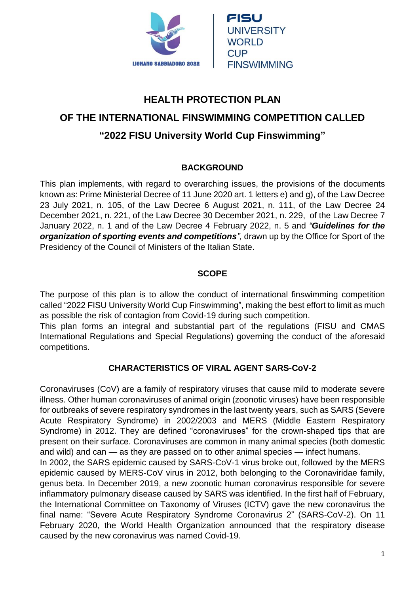

# **HEALTH PROTECTION PLAN OF THE INTERNATIONAL FINSWIMMING COMPETITION CALLED**

## **"2022 FISU University World Cup Finswimming"**

## **BACKGROUND**

This plan implements, with regard to overarching issues, the provisions of the documents known as: Prime Ministerial Decree of 11 June 2020 art. 1 letters e) and g), of the Law Decree 23 July 2021, n. 105, of the Law Decree 6 August 2021, n. 111, of the Law Decree 24 December 2021, n. 221, of the Law Decree 30 December 2021, n. 229, of the Law Decree 7 January 2022, n. 1 and of the Law Decree 4 February 2022, n. 5 and *"Guidelines for the organization of sporting events and competitions",* drawn up by the Office for Sport of the Presidency of the Council of Ministers of the Italian State.

## **SCOPE**

The purpose of this plan is to allow the conduct of international finswimming competition called "2022 FISU University World Cup Finswimming", making the best effort to limit as much as possible the risk of contagion from Covid-19 during such competition.

This plan forms an integral and substantial part of the regulations (FISU and CMAS International Regulations and Special Regulations) governing the conduct of the aforesaid competitions.

## **CHARACTERISTICS OF VIRAL AGENT SARS-CoV-2**

Coronaviruses (CoV) are a family of respiratory viruses that cause mild to moderate severe illness. Other human coronaviruses of animal origin (zoonotic viruses) have been responsible for outbreaks of severe respiratory syndromes in the last twenty years, such as SARS (Severe Acute Respiratory Syndrome) in 2002/2003 and MERS (Middle Eastern Respiratory Syndrome) in 2012. They are defined "coronaviruses" for the crown-shaped tips that are present on their surface. Coronaviruses are common in many animal species (both domestic and wild) and can — as they are passed on to other animal species — infect humans.

In 2002, the SARS epidemic caused by SARS-CoV-1 virus broke out, followed by the MERS epidemic caused by MERS-CoV virus in 2012, both belonging to the Coronaviridae family, genus beta. In December 2019, a new zoonotic human coronavirus responsible for severe inflammatory pulmonary disease caused by SARS was identified. In the first half of February, the International Committee on Taxonomy of Viruses (ICTV) gave the new coronavirus the final name: "Severe Acute Respiratory Syndrome Coronavirus 2" (SARS-CoV-2). On 11 February 2020, the World Health Organization announced that the respiratory disease caused by the new coronavirus was named Covid-19.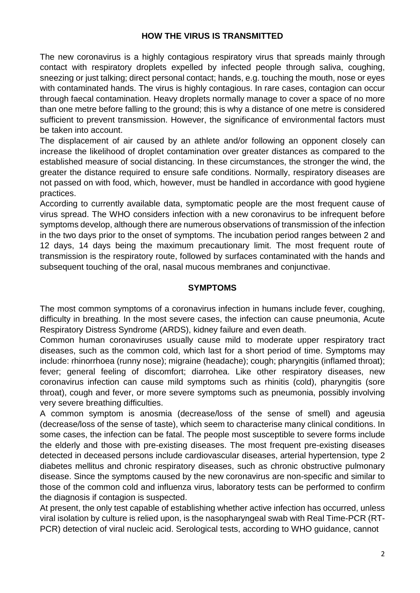#### **HOW THE VIRUS IS TRANSMITTED**

The new coronavirus is a highly contagious respiratory virus that spreads mainly through contact with respiratory droplets expelled by infected people through saliva, coughing, sneezing or just talking; direct personal contact; hands, e.g. touching the mouth, nose or eyes with contaminated hands. The virus is highly contagious. In rare cases, contagion can occur through faecal contamination. Heavy droplets normally manage to cover a space of no more than one metre before falling to the ground; this is why a distance of one metre is considered sufficient to prevent transmission. However, the significance of environmental factors must be taken into account.

The displacement of air caused by an athlete and/or following an opponent closely can increase the likelihood of droplet contamination over greater distances as compared to the established measure of social distancing. In these circumstances, the stronger the wind, the greater the distance required to ensure safe conditions. Normally, respiratory diseases are not passed on with food, which, however, must be handled in accordance with good hygiene practices.

According to currently available data, symptomatic people are the most frequent cause of virus spread. The WHO considers infection with a new coronavirus to be infrequent before symptoms develop, although there are numerous observations of transmission of the infection in the two days prior to the onset of symptoms. The incubation period ranges between 2 and 12 days, 14 days being the maximum precautionary limit. The most frequent route of transmission is the respiratory route, followed by surfaces contaminated with the hands and subsequent touching of the oral, nasal mucous membranes and conjunctivae.

#### **SYMPTOMS**

The most common symptoms of a coronavirus infection in humans include fever, coughing, difficulty in breathing. In the most severe cases, the infection can cause pneumonia, Acute Respiratory Distress Syndrome (ARDS), kidney failure and even death.

Common human coronaviruses usually cause mild to moderate upper respiratory tract diseases, such as the common cold, which last for a short period of time. Symptoms may include: rhinorrhoea (runny nose); migraine (headache); cough; pharyngitis (inflamed throat); fever; general feeling of discomfort; diarrohea. Like other respiratory diseases, new coronavirus infection can cause mild symptoms such as rhinitis (cold), pharyngitis (sore throat), cough and fever, or more severe symptoms such as pneumonia, possibly involving very severe breathing difficulties.

A common symptom is anosmia (decrease/loss of the sense of smell) and ageusia (decrease/loss of the sense of taste), which seem to characterise many clinical conditions. In some cases, the infection can be fatal. The people most susceptible to severe forms include the elderly and those with pre-existing diseases. The most frequent pre-existing diseases detected in deceased persons include cardiovascular diseases, arterial hypertension, type 2 diabetes mellitus and chronic respiratory diseases, such as chronic obstructive pulmonary disease. Since the symptoms caused by the new coronavirus are non-specific and similar to those of the common cold and influenza virus, laboratory tests can be performed to confirm the diagnosis if contagion is suspected.

At present, the only test capable of establishing whether active infection has occurred, unless viral isolation by culture is relied upon, is the nasopharyngeal swab with Real Time-PCR (RT-PCR) detection of viral nucleic acid. Serological tests, according to WHO guidance, cannot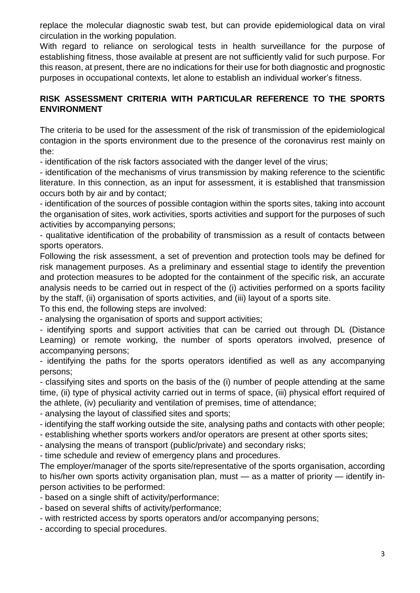replace the molecular diagnostic swab test, but can provide epidemiological data on viral circulation in the working population.

With regard to reliance on serological tests in health surveillance for the purpose of establishing fitness, those available at present are not sufficiently valid for such purpose. For this reason, at present, there are no indications for their use for both diagnostic and prognostic purposes in occupational contexts, let alone to establish an individual worker's fitness.

#### **RISK ASSESSMENT CRITERIA WITH PARTICULAR REFERENCE TO THE SPORTS ENVIRONMENT**

The criteria to be used for the assessment of the risk of transmission of the epidemiological contagion in the sports environment due to the presence of the coronavirus rest mainly on the:

- identification of the risk factors associated with the danger level of the virus;

- identification of the mechanisms of virus transmission by making reference to the scientific literature. In this connection, as an input for assessment, it is established that transmission occurs both by air and by contact;

- identification of the sources of possible contagion within the sports sites, taking into account the organisation of sites, work activities, sports activities and support for the purposes of such activities by accompanying persons;

- qualitative identification of the probability of transmission as a result of contacts between sports operators.

Following the risk assessment, a set of prevention and protection tools may be defined for risk management purposes. As a preliminary and essential stage to identify the prevention and protection measures to be adopted for the containment of the specific risk, an accurate analysis needs to be carried out in respect of the (i) activities performed on a sports facility by the staff, (ii) organisation of sports activities, and (iii) layout of a sports site.

To this end, the following steps are involved:

- analysing the organisation of sports and support activities;

- identifying sports and support activities that can be carried out through DL (Distance Learning) or remote working, the number of sports operators involved, presence of accompanying persons;

- identifying the paths for the sports operators identified as well as any accompanying persons;

- classifying sites and sports on the basis of the (i) number of people attending at the same time, (ii) type of physical activity carried out in terms of space, (iii) physical effort required of the athlete, (iv) peculiarity and ventilation of premises, time of attendance;

- analysing the layout of classified sites and sports;

- identifying the staff working outside the site, analysing paths and contacts with other people;

- establishing whether sports workers and/or operators are present at other sports sites;

- analysing the means of transport (public/private) and secondary risks;

- time schedule and review of emergency plans and procedures.

The employer/manager of the sports site/representative of the sports organisation, according to his/her own sports activity organisation plan, must — as a matter of priority — identify inperson activities to be performed:

- based on a single shift of activity/performance;

- based on several shifts of activity/performance;
- with restricted access by sports operators and/or accompanying persons;

- according to special procedures.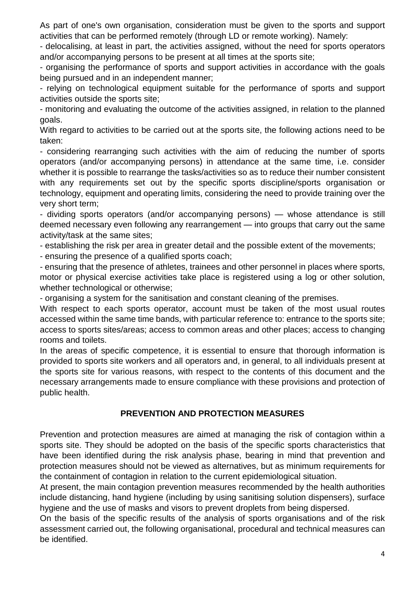As part of one's own organisation, consideration must be given to the sports and support activities that can be performed remotely (through LD or remote working). Namely:

- delocalising, at least in part, the activities assigned, without the need for sports operators and/or accompanying persons to be present at all times at the sports site;

- organising the performance of sports and support activities in accordance with the goals being pursued and in an independent manner;

- relying on technological equipment suitable for the performance of sports and support activities outside the sports site;

- monitoring and evaluating the outcome of the activities assigned, in relation to the planned goals.

With regard to activities to be carried out at the sports site, the following actions need to be taken:

- considering rearranging such activities with the aim of reducing the number of sports operators (and/or accompanying persons) in attendance at the same time, i.e. consider whether it is possible to rearrange the tasks/activities so as to reduce their number consistent with any requirements set out by the specific sports discipline/sports organisation or technology, equipment and operating limits, considering the need to provide training over the very short term;

- dividing sports operators (and/or accompanying persons) — whose attendance is still deemed necessary even following any rearrangement — into groups that carry out the same activity/task at the same sites;

- establishing the risk per area in greater detail and the possible extent of the movements;

- ensuring the presence of a qualified sports coach;

- ensuring that the presence of athletes, trainees and other personnel in places where sports, motor or physical exercise activities take place is registered using a log or other solution, whether technological or otherwise;

- organising a system for the sanitisation and constant cleaning of the premises.

With respect to each sports operator, account must be taken of the most usual routes accessed within the same time bands, with particular reference to: entrance to the sports site; access to sports sites/areas; access to common areas and other places; access to changing rooms and toilets.

In the areas of specific competence, it is essential to ensure that thorough information is provided to sports site workers and all operators and, in general, to all individuals present at the sports site for various reasons, with respect to the contents of this document and the necessary arrangements made to ensure compliance with these provisions and protection of public health.

## **PREVENTION AND PROTECTION MEASURES**

Prevention and protection measures are aimed at managing the risk of contagion within a sports site. They should be adopted on the basis of the specific sports characteristics that have been identified during the risk analysis phase, bearing in mind that prevention and protection measures should not be viewed as alternatives, but as minimum requirements for the containment of contagion in relation to the current epidemiological situation.

At present, the main contagion prevention measures recommended by the health authorities include distancing, hand hygiene (including by using sanitising solution dispensers), surface hygiene and the use of masks and visors to prevent droplets from being dispersed.

On the basis of the specific results of the analysis of sports organisations and of the risk assessment carried out, the following organisational, procedural and technical measures can be identified.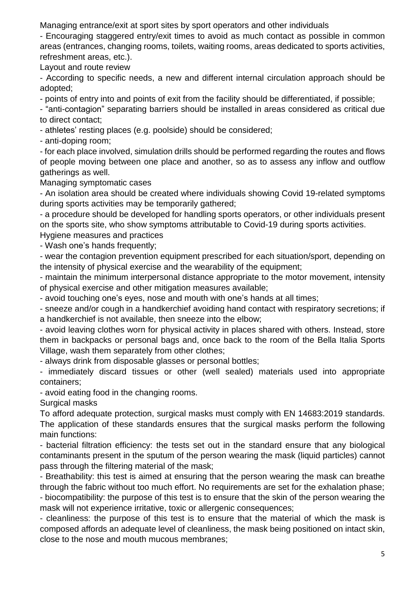Managing entrance/exit at sport sites by sport operators and other individuals

- Encouraging staggered entry/exit times to avoid as much contact as possible in common areas (entrances, changing rooms, toilets, waiting rooms, areas dedicated to sports activities, refreshment areas, etc.).

Layout and route review

- According to specific needs, a new and different internal circulation approach should be adopted;

- points of entry into and points of exit from the facility should be differentiated, if possible;

- "anti-contagion" separating barriers should be installed in areas considered as critical due to direct contact;

- athletes' resting places (e.g. poolside) should be considered;

- anti-doping room;

- for each place involved, simulation drills should be performed regarding the routes and flows of people moving between one place and another, so as to assess any inflow and outflow gatherings as well.

Managing symptomatic cases

- An isolation area should be created where individuals showing Covid 19-related symptoms during sports activities may be temporarily gathered;

- a procedure should be developed for handling sports operators, or other individuals present on the sports site, who show symptoms attributable to Covid-19 during sports activities.

Hygiene measures and practices

- Wash one's hands frequently;

- wear the contagion prevention equipment prescribed for each situation/sport, depending on the intensity of physical exercise and the wearability of the equipment;

- maintain the minimum interpersonal distance appropriate to the motor movement, intensity of physical exercise and other mitigation measures available;

- avoid touching one's eyes, nose and mouth with one's hands at all times;

- sneeze and/or cough in a handkerchief avoiding hand contact with respiratory secretions; if a handkerchief is not available, then sneeze into the elbow;

- avoid leaving clothes worn for physical activity in places shared with others. Instead, store them in backpacks or personal bags and, once back to the room of the Bella Italia Sports Village, wash them separately from other clothes;

- always drink from disposable glasses or personal bottles;

- immediately discard tissues or other (well sealed) materials used into appropriate containers;

- avoid eating food in the changing rooms.

Surgical masks

To afford adequate protection, surgical masks must comply with EN 14683:2019 standards.

The application of these standards ensures that the surgical masks perform the following main functions:

- bacterial filtration efficiency: the tests set out in the standard ensure that any biological contaminants present in the sputum of the person wearing the mask (liquid particles) cannot pass through the filtering material of the mask;

- Breathability: this test is aimed at ensuring that the person wearing the mask can breathe through the fabric without too much effort. No requirements are set for the exhalation phase;

- biocompatibility: the purpose of this test is to ensure that the skin of the person wearing the mask will not experience irritative, toxic or allergenic consequences;

- cleanliness: the purpose of this test is to ensure that the material of which the mask is composed affords an adequate level of cleanliness, the mask being positioned on intact skin, close to the nose and mouth mucous membranes;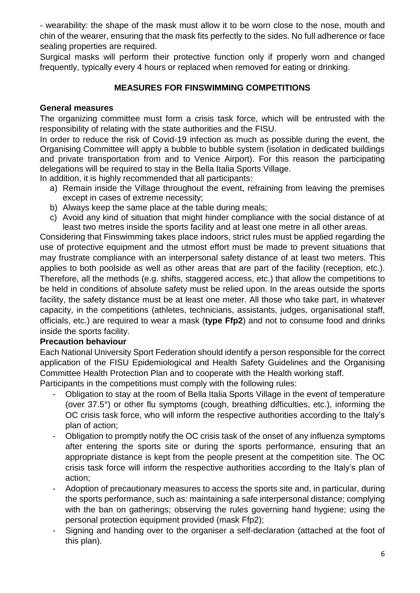- wearability: the shape of the mask must allow it to be worn close to the nose, mouth and chin of the wearer, ensuring that the mask fits perfectly to the sides. No full adherence or face sealing properties are required.

Surgical masks will perform their protective function only if properly worn and changed frequently, typically every 4 hours or replaced when removed for eating or drinking.

#### **MEASURES FOR FINSWIMMING COMPETITIONS**

#### **General measures**

The organizing committee must form a crisis task force, which will be entrusted with the responsibility of relating with the state authorities and the FISU.

In order to reduce the risk of Covid-19 infection as much as possible during the event, the Organising Committee will apply a bubble to bubble system (isolation in dedicated buildings and private transportation from and to Venice Airport). For this reason the participating delegations will be required to stay in the Bella Italia Sports Village.

In addition, it is highly recommended that all participants:

- a) Remain inside the Village throughout the event, refraining from leaving the premises except in cases of extreme necessity;
- b) Always keep the same place at the table during meals;
- c) Avoid any kind of situation that might hinder compliance with the social distance of at least two metres inside the sports facility and at least one metre in all other areas.

Considering that Finswimming takes place indoors, strict rules must be applied regarding the use of protective equipment and the utmost effort must be made to prevent situations that may frustrate compliance with an interpersonal safety distance of at least two meters. This applies to both poolside as well as other areas that are part of the facility (reception, etc.). Therefore, all the methods (e.g. shifts, staggered access, etc.) that allow the competitions to be held in conditions of absolute safety must be relied upon. In the areas outside the sports facility, the safety distance must be at least one meter. All those who take part, in whatever capacity, in the competitions (athletes, technicians, assistants, judges, organisational staff, officials, etc.) are required to wear a mask (**type Ffp2**) and not to consume food and drinks inside the sports facility.

#### **Precaution behaviour**

Each National University Sport Federation should identify a person responsible for the correct application of the FISU Epidemiological and Health Safety Guidelines and the Organising Committee Health Protection Plan and to cooperate with the Health working staff.

Participants in the competitions must comply with the following rules:

- Obligation to stay at the room of Bella Italia Sports Village in the event of temperature (over 37.5°) or other flu symptoms (cough, breathing difficulties, etc.), informing the OC crisis task force, who will inform the respective authorities according to the Italy's plan of action;
- Obligation to promptly notify the OC crisis task of the onset of any influenza symptoms after entering the sports site or during the sports performance, ensuring that an appropriate distance is kept from the people present at the competition site. The OC crisis task force will inform the respective authorities according to the Italy's plan of action;
- Adoption of precautionary measures to access the sports site and, in particular, during the sports performance, such as: maintaining a safe interpersonal distance; complying with the ban on gatherings; observing the rules governing hand hygiene; using the personal protection equipment provided (mask Ffp2);
- Signing and handing over to the organiser a self-declaration (attached at the foot of this plan).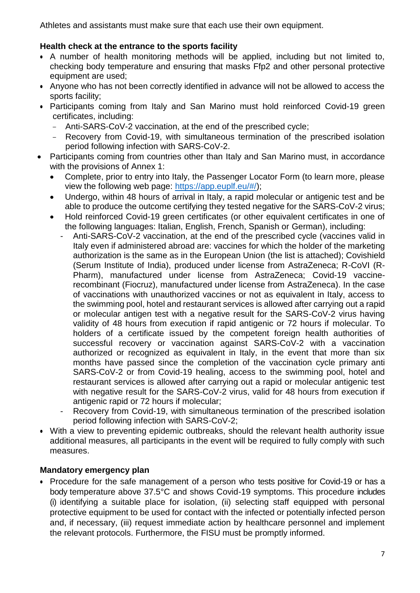Athletes and assistants must make sure that each use their own equipment.

#### **Health check at the entrance to the sports facility**

- A number of health monitoring methods will be applied, including but not limited to, checking body temperature and ensuring that masks Ffp2 and other personal protective equipment are used;
- Anyone who has not been correctly identified in advance will not be allowed to access the sports facility;
- Participants coming from Italy and San Marino must hold reinforced Covid-19 green certificates, including:
	- Anti-SARS-CoV-2 vaccination, at the end of the prescribed cycle;
	- Recovery from Covid-19, with simultaneous termination of the prescribed isolation period following infection with SARS-CoV-2.
- Participants coming from countries other than Italy and San Marino must, in accordance with the provisions of Annex 1:
	- Complete, prior to entry into Italy, the Passenger Locator Form (to learn more, please view the following web page: [https://app.euplf.eu/#/\)](https://app.euplf.eu/#/);
	- Undergo, within 48 hours of arrival in Italy, a rapid molecular or antigenic test and be able to produce the outcome certifying they tested negative for the SARS-CoV-2 virus;
	- Hold reinforced Covid-19 green certificates (or other equivalent certificates in one of the following languages: Italian, English, French, Spanish or German), including:
		- Anti-SARS-CoV-2 vaccination, at the end of the prescribed cycle (vaccines valid in Italy even if administered abroad are: vaccines for which the holder of the marketing authorization is the same as in the European Union (the list is attached); Covishield (Serum Institute of India), produced under license from AstraZeneca; R-CoVI (R-Pharm), manufactured under license from AstraZeneca; Covid-19 vaccinerecombinant (Fiocruz), manufactured under license from AstraZeneca). In the case of vaccinations with unauthorized vaccines or not as equivalent in Italy, access to the swimming pool, hotel and restaurant services is allowed after carrying out a rapid or molecular antigen test with a negative result for the SARS-CoV-2 virus having validity of 48 hours from execution if rapid antigenic or 72 hours if molecular. To holders of a certificate issued by the competent foreign health authorities of successful recovery or vaccination against SARS-CoV-2 with a vaccination authorized or recognized as equivalent in Italy, in the event that more than six months have passed since the completion of the vaccination cycle primary anti SARS-CoV-2 or from Covid-19 healing, access to the swimming pool, hotel and restaurant services is allowed after carrying out a rapid or molecular antigenic test with negative result for the SARS-CoV-2 virus, valid for 48 hours from execution if antigenic rapid or 72 hours if molecular;
		- Recovery from Covid-19, with simultaneous termination of the prescribed isolation period following infection with SARS-CoV-2;
- With a view to preventing epidemic outbreaks, should the relevant health authority issue additional measures, all participants in the event will be required to fully comply with such measures.

#### **Mandatory emergency plan**

• Procedure for the safe management of a person who tests positive for Covid-19 or has a body temperature above 37.5°C and shows Covid-19 symptoms. This procedure includes (i) identifying a suitable place for isolation, (ii) selecting staff equipped with personal protective equipment to be used for contact with the infected or potentially infected person and, if necessary, (iii) request immediate action by healthcare personnel and implement the relevant protocols. Furthermore, the FISU must be promptly informed.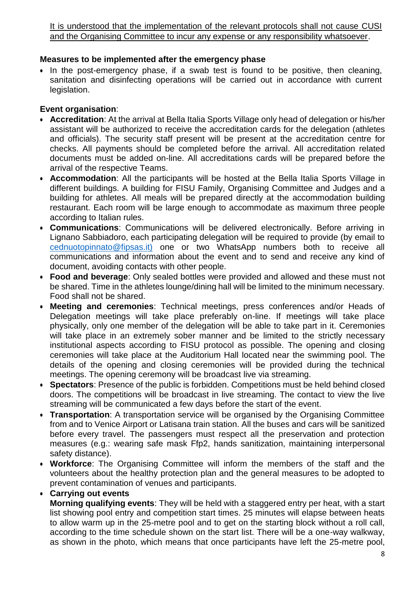It is understood that the implementation of the relevant protocols shall not cause CUSI and the Organising Committee to incur any expense or any responsibility whatsoever.

#### **Measures to be implemented after the emergency phase**

• In the post-emergency phase, if a swab test is found to be positive, then cleaning, sanitation and disinfecting operations will be carried out in accordance with current legislation.

### **Event organisation**:

- **Accreditation**: At the arrival at Bella Italia Sports Village only head of delegation or his/her assistant will be authorized to receive the accreditation cards for the delegation (athletes and officials). The security staff present will be present at the accreditation centre for checks. All payments should be completed before the arrival. All accreditation related documents must be added on-line. All accreditations cards will be prepared before the arrival of the respective Teams.
- **Accommodation**: All the participants will be hosted at the Bella Italia Sports Village in different buildings. A building for FISU Family, Organising Committee and Judges and a building for athletes. All meals will be prepared directly at the accommodation building restaurant. Each room will be large enough to accommodate as maximum three people according to Italian rules.
- **Communications**: Communications will be delivered electronically. Before arriving in Lignano Sabbiadoro, each participating delegation will be required to provide (by email to [cednuotopinnato@fipsas.it\)](mailto:cednuotopinnato@fipsas.it)) one or two WhatsApp numbers both to receive all communications and information about the event and to send and receive any kind of document, avoiding contacts with other people.
- **Food and beverage**: Only sealed bottles were provided and allowed and these must not be shared. Time in the athletes lounge/dining hall will be limited to the minimum necessary. Food shall not be shared.
- **Meeting and ceremonies**: Technical meetings, press conferences and/or Heads of Delegation meetings will take place preferably on-line. If meetings will take place physically, only one member of the delegation will be able to take part in it. Ceremonies will take place in an extremely sober manner and be limited to the strictly necessary institutional aspects according to FISU protocol as possible. The opening and closing ceremonies will take place at the Auditorium Hall located near the swimming pool. The details of the opening and closing ceremonies will be provided during the technical meetings. The opening ceremony will be broadcast live via streaming.
- **Spectators**: Presence of the public is forbidden. Competitions must be held behind closed doors. The competitions will be broadcast in live streaming. The contact to view the live streaming will be communicated a few days before the start of the event.
- **Transportation**: A transportation service will be organised by the Organising Committee from and to Venice Airport or Latisana train station. All the buses and cars will be sanitized before every travel. The passengers must respect all the preservation and protection measures (e.g.: wearing safe mask Ffp2, hands sanitization, maintaining interpersonal safety distance).
- **Workforce**: The Organising Committee will inform the members of the staff and the volunteers about the healthy protection plan and the general measures to be adopted to prevent contamination of venues and participants.

#### **Carrying out events**

**Morning qualifying events**: They will be held with a staggered entry per heat, with a start list showing pool entry and competition start times. 25 minutes will elapse between heats to allow warm up in the 25-metre pool and to get on the starting block without a roll call, according to the time schedule shown on the start list. There will be a one-way walkway, as shown in the photo, which means that once participants have left the 25-metre pool,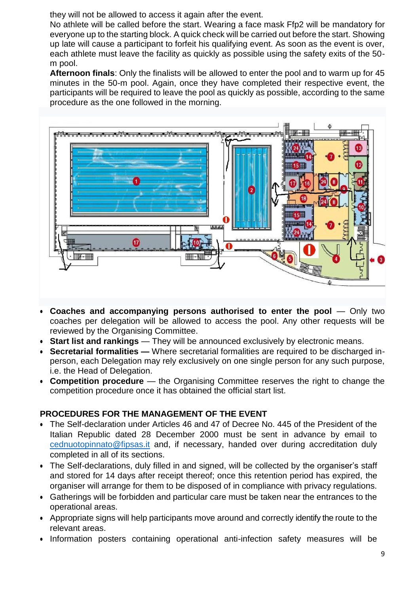they will not be allowed to access it again after the event.

No athlete will be called before the start. Wearing a face mask Ffp2 will be mandatory for everyone up to the starting block. A quick check will be carried out before the start. Showing up late will cause a participant to forfeit his qualifying event. As soon as the event is over, each athlete must leave the facility as quickly as possible using the safety exits of the 50 m pool.

**Afternoon finals**: Only the finalists will be allowed to enter the pool and to warm up for 45 minutes in the 50-m pool. Again, once they have completed their respective event, the participants will be required to leave the pool as quickly as possible, according to the same procedure as the one followed in the morning.



- **Coaches and accompanying persons authorised to enter the pool** Only two coaches per delegation will be allowed to access the pool. Any other requests will be reviewed by the Organising Committee.
- **Start list and rankings** They will be announced exclusively by electronic means.
- **Secretarial formalities —** Where secretarial formalities are required to be discharged inperson, each Delegation may rely exclusively on one single person for any such purpose, i.e. the Head of Delegation.
- **Competition procedure** the Organising Committee reserves the right to change the competition procedure once it has obtained the official start list.

#### **PROCEDURES FOR THE MANAGEMENT OF THE EVENT**

- The Self-declaration under Articles 46 and 47 of Decree No. 445 of the President of the Italian Republic dated 28 December 2000 must be sent in advance by email to [cednuotopinnato@fipsas.it](mailto:cednuotopinnato@fipsas.it) and, if necessary, handed over during accreditation duly completed in all of its sections.
- The Self-declarations, duly filled in and signed, will be collected by the organiser's staff and stored for 14 days after receipt thereof; once this retention period has expired, the organiser will arrange for them to be disposed of in compliance with privacy regulations.
- Gatherings will be forbidden and particular care must be taken near the entrances to the operational areas.
- Appropriate signs will help participants move around and correctly identify the route to the relevant areas.
- Information posters containing operational anti-infection safety measures will be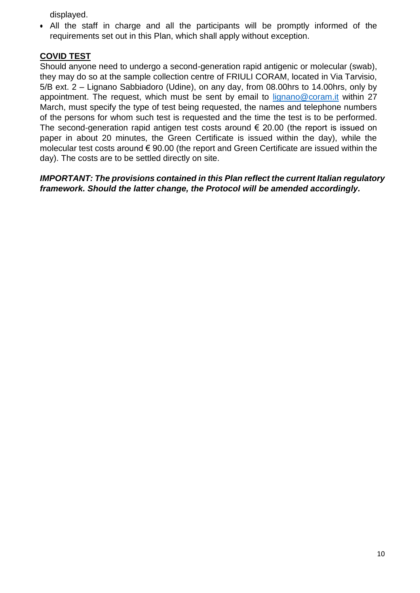displayed.

 All the staff in charge and all the participants will be promptly informed of the requirements set out in this Plan, which shall apply without exception.

## **COVID TEST**

Should anyone need to undergo a second-generation rapid antigenic or molecular (swab), they may do so at the sample collection centre of FRIULI CORAM, located in Via Tarvisio, 5/B ext. 2 – Lignano Sabbiadoro (Udine), on any day, from 08.00hrs to 14.00hrs, only by appointment. The request, which must be sent by email to [lignano@coram.it](mailto:lignano@coram.it) within 27 March, must specify the type of test being requested, the names and telephone numbers of the persons for whom such test is requested and the time the test is to be performed. The second-generation rapid antigen test costs around  $\epsilon$  20.00 (the report is issued on paper in about 20 minutes, the Green Certificate is issued within the day), while the molecular test costs around € 90.00 (the report and Green Certificate are issued within the day). The costs are to be settled directly on site.

*IMPORTANT: The provisions contained in this Plan reflect the current Italian regulatory framework. Should the latter change, the Protocol will be amended accordingly.*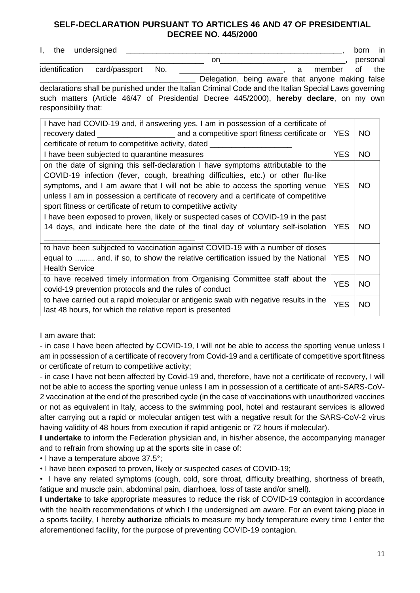#### **SELF-DECLARATION PURSUANT TO ARTICLES 46 AND 47 OF PRESIDENTIAL DECREE NO. 445/2000**

I, the undersigned example and the undersigned the understanding of the understanding of the understanding of the understanding of the understanding of the understanding of the understanding of the understanding of the und \_\_\_\_\_\_\_\_\_\_\_\_\_\_\_\_\_\_\_\_\_\_\_\_\_\_\_\_\_\_\_\_\_\_\_\_\_\_ on\_\_\_\_\_\_\_\_\_\_\_\_\_\_\_\_\_\_\_\_\_\_\_\_\_\_\_\_\_, personal identification card/passport No. **Example 10** a member of the

Delegation, being aware that anyone making false declarations shall be punished under the Italian Criminal Code and the Italian Special Laws governing such matters (Article 46/47 of Presidential Decree 445/2000), **hereby declare**, on my own responsibility that:

| I have had COVID-19 and, if answering yes, I am in possession of a certificate of                                                                                                                                                                                                                                                                                                                                | <b>YES</b> | NO        |
|------------------------------------------------------------------------------------------------------------------------------------------------------------------------------------------------------------------------------------------------------------------------------------------------------------------------------------------------------------------------------------------------------------------|------------|-----------|
| certificate of return to competitive activity, dated _                                                                                                                                                                                                                                                                                                                                                           |            |           |
| I have been subjected to quarantine measures                                                                                                                                                                                                                                                                                                                                                                     | <b>YES</b> | NO        |
| on the date of signing this self-declaration I have symptoms attributable to the<br>COVID-19 infection (fever, cough, breathing difficulties, etc.) or other flu-like<br>symptoms, and I am aware that I will not be able to access the sporting venue<br>unless I am in possession a certificate of recovery and a certificate of competitive<br>sport fitness or certificate of return to competitive activity | <b>YES</b> | NO        |
| I have been exposed to proven, likely or suspected cases of COVID-19 in the past<br>14 days, and indicate here the date of the final day of voluntary self-isolation                                                                                                                                                                                                                                             | YES        | NO        |
| to have been subjected to vaccination against COVID-19 with a number of doses<br>equal to  and, if so, to show the relative certification issued by the National<br><b>Health Service</b>                                                                                                                                                                                                                        | <b>YES</b> | NO.       |
| to have received timely information from Organising Committee staff about the<br>covid-19 prevention protocols and the rules of conduct                                                                                                                                                                                                                                                                          | <b>YES</b> | <b>NO</b> |
| to have carried out a rapid molecular or antigenic swab with negative results in the<br>last 48 hours, for which the relative report is presented                                                                                                                                                                                                                                                                | <b>YES</b> | <b>NO</b> |

I am aware that:

- in case I have been affected by COVID-19, I will not be able to access the sporting venue unless I am in possession of a certificate of recovery from Covid-19 and a certificate of competitive sport fitness or certificate of return to competitive activity;

- in case I have not been affected by Covid-19 and, therefore, have not a certificate of recovery, I will not be able to access the sporting venue unless I am in possession of a certificate of anti-SARS-CoV-2 vaccination at the end of the prescribed cycle (in the case of vaccinations with unauthorized vaccines or not as equivalent in Italy, access to the swimming pool, hotel and restaurant services is allowed after carrying out a rapid or molecular antigen test with a negative result for the SARS-CoV-2 virus having validity of 48 hours from execution if rapid antigenic or 72 hours if molecular).

**I undertake** to inform the Federation physician and, in his/her absence, the accompanying manager and to refrain from showing up at the sports site in case of:

• I have a temperature above 37.5°;

• I have been exposed to proven, likely or suspected cases of COVID-19;

• I have any related symptoms (cough, cold, sore throat, difficulty breathing, shortness of breath, fatigue and muscle pain, abdominal pain, diarrhoea, loss of taste and/or smell).

**I undertake** to take appropriate measures to reduce the risk of COVID-19 contagion in accordance with the health recommendations of which I the undersigned am aware. For an event taking place in a sports facility, I hereby **authorize** officials to measure my body temperature every time I enter the aforementioned facility, for the purpose of preventing COVID-19 contagion.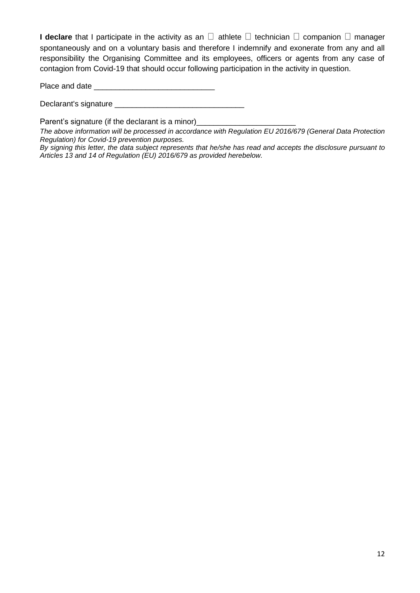**I declare** that I participate in the activity as an  $\Box$  athlete  $\Box$  technician  $\Box$  companion  $\Box$  manager spontaneously and on a voluntary basis and therefore I indemnify and exonerate from any and all responsibility the Organising Committee and its employees, officers or agents from any case of contagion from Covid-19 that should occur following participation in the activity in question.

Place and date  $\Box$ 

Declarant's signature \_\_\_\_\_\_\_\_\_\_\_\_\_\_\_\_\_\_\_\_\_\_\_\_\_\_\_\_\_\_

Parent's signature (if the declarant is a minor)\_\_\_\_\_\_\_\_\_\_\_\_\_\_\_\_\_\_\_\_\_\_\_\_\_\_\_\_\_\_\_\_

*The above information will be processed in accordance with Regulation EU 2016/679 (General Data Protection Regulation) for Covid-19 prevention purposes.*

By signing this letter, the data subject represents that he/she has read and accepts the disclosure pursuant to *Articles 13 and 14 of Regulation (EU) 2016/679 as provided herebelow.*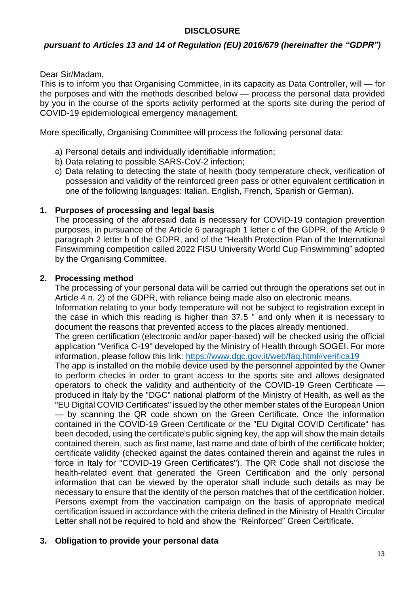#### **DISCLOSURE**

#### *pursuant to Articles 13 and 14 of Regulation (EU) 2016/679 (hereinafter the "GDPR")*

Dear Sir/Madam,

This is to inform you that Organising Committee, in its capacity as Data Controller, will — for the purposes and with the methods described below — process the personal data provided by you in the course of the sports activity performed at the sports site during the period of COVID-19 epidemiological emergency management.

More specifically, Organising Committee will process the following personal data:

- a) Personal details and individually identifiable information;
- b) Data relating to possible SARS-CoV-2 infection;
- c) Data relating to detecting the state of health (body temperature check, verification of possession and validity of the reinforced green pass or other equivalent certification in one of the following languages: Italian, English, French, Spanish or German).

#### **1. Purposes of processing and legal basis**

The processing of the aforesaid data is necessary for COVID-19 contagion prevention purposes, in pursuance of the Article 6 paragraph 1 letter c of the GDPR, of the Article 9 paragraph 2 letter b of the GDPR, and of the "Health Protection Plan of the International Finswimming competition called 2022 FISU University World Cup Finswimming" adopted by the Organising Committee.

#### **2. Processing method**

The processing of your personal data will be carried out through the operations set out in Article 4 n. 2) of the GDPR, with reliance being made also on electronic means.

Information relating to your body temperature will not be subject to registration except in the case in which this reading is higher than 37.5 ° and only when it is necessary to document the reasons that prevented access to the places already mentioned.

The green certification (electronic and/or paper-based) will be checked using the official application "Verifica C-19" developed by the Ministry of Health through SOGEI. For more information, please follow this link:<https://www.dgc.gov.it/web/faq.html#verifica19>

The app is installed on the mobile device used by the personnel appointed by the Owner to perform checks in order to grant access to the sports site and allows designated operators to check the validity and authenticity of the COVID-19 Green Certificate produced in Italy by the "DGC" national platform of the Ministry of Health, as well as the "EU Digital COVID Certificates" issued by the other member states of the European Union — by scanning the QR code shown on the Green Certificate. Once the information contained in the COVID-19 Green Certificate or the "EU Digital COVID Certificate" has been decoded, using the certificate's public signing key, the app will show the main details contained therein, such as first name, last name and date of birth of the certificate holder; certificate validity (checked against the dates contained therein and against the rules in force in Italy for "COVID-19 Green Certificates"). The QR Code shall not disclose the health-related event that generated the Green Certification and the only personal information that can be viewed by the operator shall include such details as may be necessary to ensure that the identity of the person matches that of the certification holder. Persons exempt from the vaccination campaign on the basis of appropriate medical certification issued in accordance with the criteria defined in the Ministry of Health Circular Letter shall not be required to hold and show the "Reinforced" Green Certificate.

#### **3. Obligation to provide your personal data**